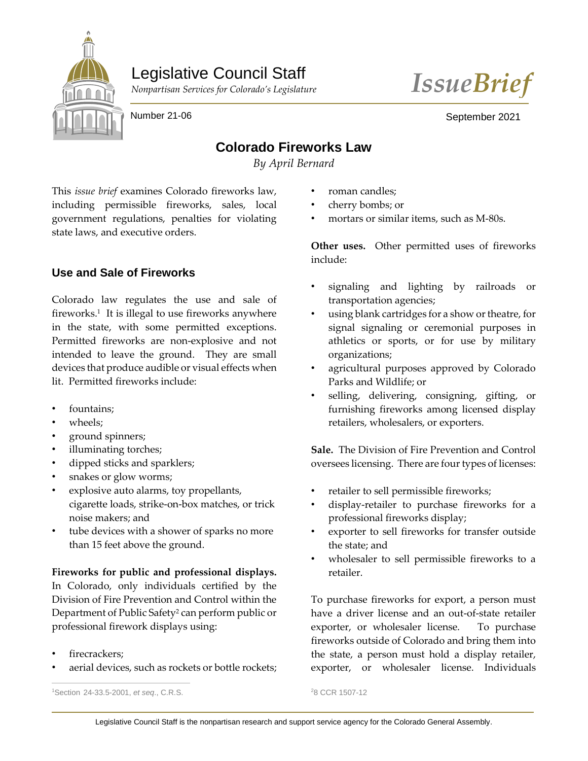

# Legislative Council Staff





Number 21-06

September 2021

## **Colorado Fireworks Law**

*By April Bernard*

This *issue brief* examines Colorado fireworks law, including permissible fireworks, sales, local government regulations, penalties for violating state laws, and executive orders.

### **Use and Sale of Fireworks**

Colorado law regulates the use and sale of fireworks.<sup>1</sup> It is illegal to use fireworks anywhere in the state, with some permitted exceptions. Permitted fireworks are non-explosive and not intended to leave the ground. They are small devices that produce audible or visual effects when lit. Permitted fireworks include:

- fountains:
- wheels;
- ground spinners;
- illuminating torches;
- dipped sticks and sparklers;
- snakes or glow worms;
- explosive auto alarms, toy propellants, cigarette loads, strike-on-box matches, or trick noise makers; and
- tube devices with a shower of sparks no more than 15 feet above the ground.

**Fireworks for public and professional displays.** In Colorado, only individuals certified by the Division of Fire Prevention and Control within the Department of Public Safety<sup>2</sup> can perform public or professional firework displays using:

firecrackers:

 $\overline{a}$ 

aerial devices, such as rockets or bottle rockets;

<sup>1</sup>Section 24-33.5-2001, *et seq*., C.R.S.

- roman candles;
- cherry bombs; or
- mortars or similar items, such as M-80s.

**Other uses.** Other permitted uses of fireworks include:

- signaling and lighting by railroads or transportation agencies;
- using blank cartridges for a show or theatre, for signal signaling or ceremonial purposes in athletics or sports, or for use by military organizations;
- agricultural purposes approved by Colorado Parks and Wildlife; or
- selling, delivering, consigning, gifting, or furnishing fireworks among licensed display retailers, wholesalers, or exporters.

**Sale.** The Division of Fire Prevention and Control oversees licensing. There are four types of licenses:

- retailer to sell permissible fireworks;
- display-retailer to purchase fireworks for a professional fireworks display;
- exporter to sell fireworks for transfer outside the state; and
- wholesaler to sell permissible fireworks to a retailer.

To purchase fireworks for export, a person must have a driver license and an out-of-state retailer exporter, or wholesaler license. To purchase fireworks outside of Colorado and bring them into the state, a person must hold a display retailer, exporter, or wholesaler license. Individuals

<sup>2</sup>8 CCR 1507-12